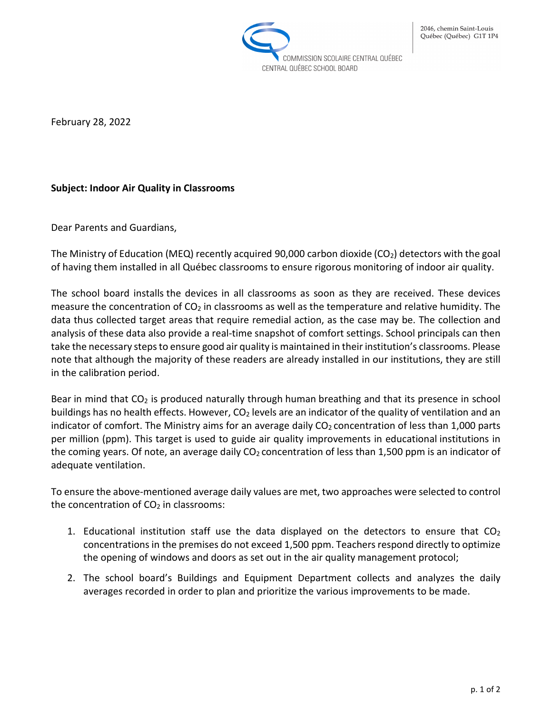

February 28, 2022

## **Subject: Indoor Air Quality in Classrooms**

Dear Parents and Guardians,

The Ministry of Education (MEQ) recently acquired 90,000 carbon dioxide (CO<sub>2</sub>) detectors with the goal of having them installed in all Québec classrooms to ensure rigorous monitoring of indoor air quality.

The school board installs the devices in all classrooms as soon as they are received. These devices measure the concentration of  $CO<sub>2</sub>$  in classrooms as well as the temperature and relative humidity. The data thus collected target areas that require remedial action, as the case may be. The collection and analysis of these data also provide a real-time snapshot of comfort settings. School principals can then take the necessary steps to ensure good air quality is maintained in their institution's classrooms. Please note that although the majority of these readers are already installed in our institutions, they are still in the calibration period.

Bear in mind that  $CO<sub>2</sub>$  is produced naturally through human breathing and that its presence in school buildings has no health effects. However, CO<sub>2</sub> levels are an indicator of the quality of ventilation and an indicator of comfort. The Ministry aims for an average daily  $CO<sub>2</sub>$  concentration of less than 1,000 parts per million (ppm). This target is used to guide air quality improvements in educational institutions in the coming years. Of note, an average daily  $CO<sub>2</sub>$  concentration of less than 1,500 ppm is an indicator of adequate ventilation.

To ensure the above-mentioned average daily values are met, two approaches were selected to control the concentration of  $CO<sub>2</sub>$  in classrooms:

- 1. Educational institution staff use the data displayed on the detectors to ensure that  $CO<sub>2</sub>$ concentrations in the premises do not exceed 1,500 ppm. Teachers respond directly to optimize the opening of windows and doors as set out in the air quality management protocol;
- 2. The school board's Buildings and Equipment Department collects and analyzes the daily averages recorded in order to plan and prioritize the various improvements to be made.